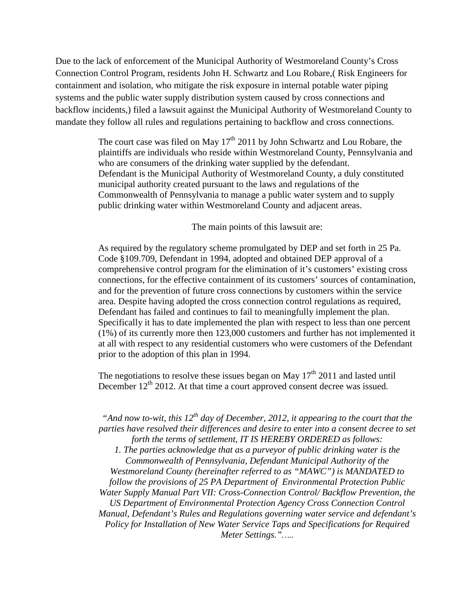Due to the lack of enforcement of the Municipal Authority of Westmoreland County's Cross Connection Control Program, residents John H. Schwartz and Lou Robare,( Risk Engineers for containment and isolation, who mitigate the risk exposure in internal potable water piping systems and the public water supply distribution system caused by cross connections and backflow incidents,) filed a lawsuit against the Municipal Authority of Westmoreland County to mandate they follow all rules and regulations pertaining to backflow and cross connections.

> The court case was filed on May  $17<sup>th</sup>$  2011 by John Schwartz and Lou Robare, the plaintiffs are individuals who reside within Westmoreland County, Pennsylvania and who are consumers of the drinking water supplied by the defendant. Defendant is the Municipal Authority of Westmoreland County, a duly constituted municipal authority created pursuant to the laws and regulations of the Commonwealth of Pennsylvania to manage a public water system and to supply public drinking water within Westmoreland County and adjacent areas.

> > The main points of this lawsuit are:

As required by the regulatory scheme promulgated by DEP and set forth in 25 Pa. Code §109.709, Defendant in 1994, adopted and obtained DEP approval of a comprehensive control program for the elimination of it's customers' existing cross connections, for the effective containment of its customers' sources of contamination, and for the prevention of future cross connections by customers within the service area. Despite having adopted the cross connection control regulations as required, Defendant has failed and continues to fail to meaningfully implement the plan. Specifically it has to date implemented the plan with respect to less than one percent (1%) of its currently more then 123,000 customers and further has not implemented it at all with respect to any residential customers who were customers of the Defendant prior to the adoption of this plan in 1994.

The negotiations to resolve these issues began on May  $17<sup>th</sup>$  2011 and lasted until December  $12<sup>th</sup>$  2012. At that time a court approved consent decree was issued.

*"And now to-wit, this 12<sup>th</sup> day of December, 2012, it appearing to the court that the parties have resolved their differences and desire to enter into a consent decree to set forth the terms of settlement, IT IS HEREBY ORDERED as follows:*

*1. The parties acknowledge that as a purveyor of public drinking water is the Commonwealth of Pennsylvania, Defendant Municipal Authority of the Westmoreland County (hereinafter referred to as "MAWC") is MANDATED to follow the provisions of 25 PA Department of Environmental Protection Public Water Supply Manual Part VII: Cross-Connection Control/ Backflow Prevention, the US Department of Environmental Protection Agency Cross Connection Control Manual, Defendant's Rules and Regulations governing water service and defendant's Policy for Installation of New Water Service Taps and Specifications for Required Meter Settings."…..*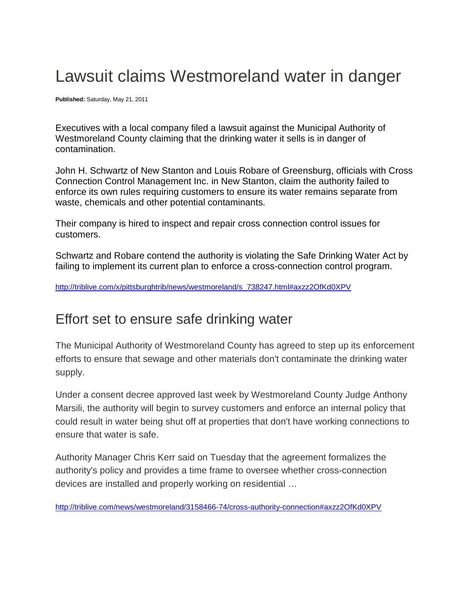# Lawsuit claims Westmoreland water in danger

**Published:** Saturday, May 21, 2011

Executives with a local company filed a lawsuit against the Municipal Authority of Westmoreland County claiming that the drinking water it sells is in danger of contamination.

John H. Schwartz of New Stanton and Louis Robare of Greensburg, officials with Cross Connection Control Management Inc. in New Stanton, claim the authority failed to enforce its own rules requiring customers to ensure its water remains separate from waste, chemicals and other potential contaminants.

Their company is hired to inspect and repair cross connection control issues for customers.

Schwartz and Robare contend the authority is violating the Safe Drinking Water Act by failing to implement its current plan to enforce a cross-connection control program.

[http://triblive.com/x/pittsburghtrib/news/westmoreland/s\\_738247.html#axzz2OfKd0XPV](http://triblive.com/x/pittsburghtrib/news/westmoreland/s_738247.html#axzz2OfKd0XPV)

## Effort set to ensure safe drinking water

The Municipal Authority of Westmoreland County has agreed to step up its enforcement efforts to ensure that sewage and other materials don't contaminate the drinking water supply.

Under a consent decree approved last week by Westmoreland County Judge Anthony Marsili, the authority will begin to survey customers and enforce an internal policy that could result in water being shut off at properties that don't have working connections to ensure that water is safe.

Authority Manager Chris Kerr said on Tuesday that the agreement formalizes the authority's policy and provides a time frame to oversee whether cross-connection devices are installed and properly working on residential …

<http://triblive.com/news/westmoreland/3158466-74/cross-authority-connection#axzz2OfKd0XPV>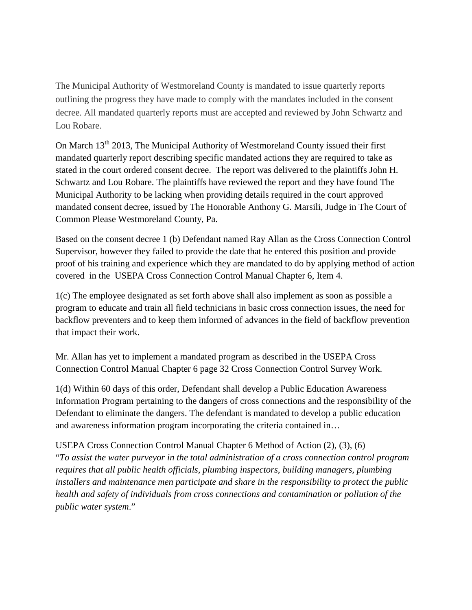The Municipal Authority of Westmoreland County is mandated to issue quarterly reports outlining the progress they have made to comply with the mandates included in the consent decree. All mandated quarterly reports must are accepted and reviewed by John Schwartz and Lou Robare.

On March 13<sup>th</sup> 2013, The Municipal Authority of Westmoreland County issued their first mandated quarterly report describing specific mandated actions they are required to take as stated in the court ordered consent decree. The report was delivered to the plaintiffs John H. Schwartz and Lou Robare. The plaintiffs have reviewed the report and they have found The Municipal Authority to be lacking when providing details required in the court approved mandated consent decree, issued by The Honorable Anthony G. Marsili, Judge in The Court of Common Please Westmoreland County, Pa.

Based on the consent decree 1 (b) Defendant named Ray Allan as the Cross Connection Control Supervisor, however they failed to provide the date that he entered this position and provide proof of his training and experience which they are mandated to do by applying method of action covered in the USEPA Cross Connection Control Manual Chapter 6, Item 4.

1(c) The employee designated as set forth above shall also implement as soon as possible a program to educate and train all field technicians in basic cross connection issues, the need for backflow preventers and to keep them informed of advances in the field of backflow prevention that impact their work.

Mr. Allan has yet to implement a mandated program as described in the USEPA Cross Connection Control Manual Chapter 6 page 32 Cross Connection Control Survey Work.

1(d) Within 60 days of this order, Defendant shall develop a Public Education Awareness Information Program pertaining to the dangers of cross connections and the responsibility of the Defendant to eliminate the dangers. The defendant is mandated to develop a public education and awareness information program incorporating the criteria contained in…

USEPA Cross Connection Control Manual Chapter 6 Method of Action (2), (3), (6) "*To assist the water purveyor in the total administration of a cross connection control program requires that all public health officials, plumbing inspectors, building managers, plumbing installers and maintenance men participate and share in the responsibility to protect the public health and safety of individuals from cross connections and contamination or pollution of the public water system*."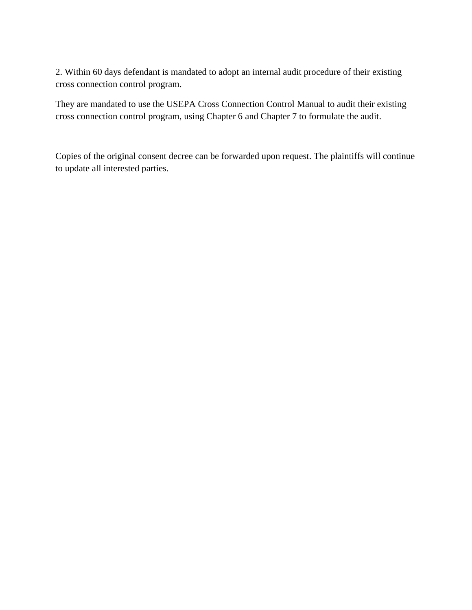2. Within 60 days defendant is mandated to adopt an internal audit procedure of their existing cross connection control program.

They are mandated to use the USEPA Cross Connection Control Manual to audit their existing cross connection control program, using Chapter 6 and Chapter 7 to formulate the audit.

Copies of the original consent decree can be forwarded upon request. The plaintiffs will continue to update all interested parties.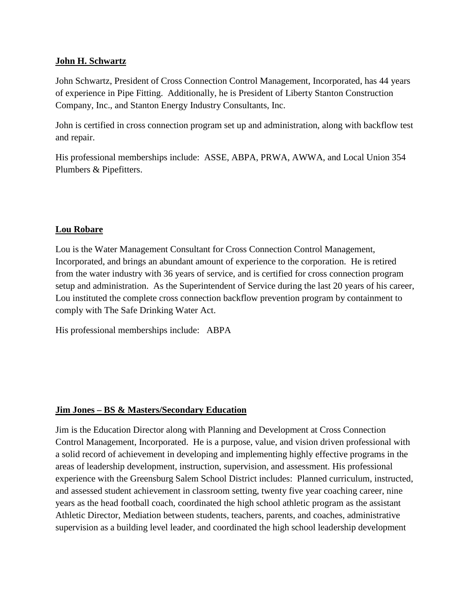#### **John H. Schwartz**

John Schwartz, President of Cross Connection Control Management, Incorporated, has 44 years of experience in Pipe Fitting. Additionally, he is President of Liberty Stanton Construction Company, Inc., and Stanton Energy Industry Consultants, Inc.

John is certified in cross connection program set up and administration, along with backflow test and repair.

His professional memberships include: ASSE, ABPA, PRWA, AWWA, and Local Union 354 Plumbers & Pipefitters.

### **Lou Robare**

Lou is the Water Management Consultant for Cross Connection Control Management, Incorporated, and brings an abundant amount of experience to the corporation. He is retired from the water industry with 36 years of service, and is certified for cross connection program setup and administration. As the Superintendent of Service during the last 20 years of his career, Lou instituted the complete cross connection backflow prevention program by containment to comply with The Safe Drinking Water Act.

His professional memberships include: ABPA

#### **Jim Jones – BS & Masters/Secondary Education**

Jim is the Education Director along with Planning and Development at Cross Connection Control Management, Incorporated. He is a purpose, value, and vision driven professional with a solid record of achievement in developing and implementing highly effective programs in the areas of leadership development, instruction, supervision, and assessment. His professional experience with the Greensburg Salem School District includes: Planned curriculum, instructed, and assessed student achievement in classroom setting, twenty five year coaching career, nine years as the head football coach, coordinated the high school athletic program as the assistant Athletic Director, Mediation between students, teachers, parents, and coaches, administrative supervision as a building level leader, and coordinated the high school leadership development